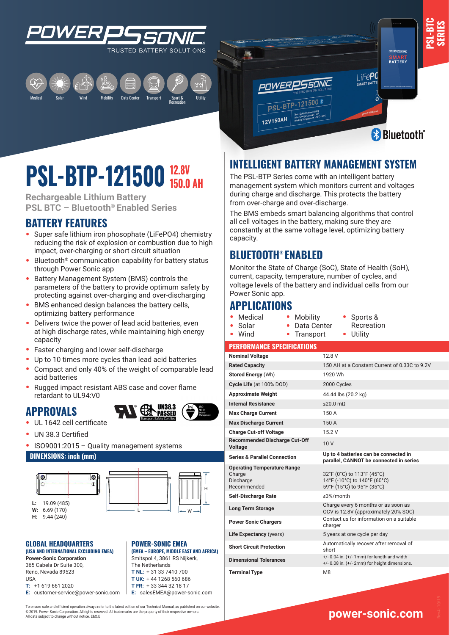







**SERIES**

# **12.8V PSL-BIP-121500 14.0V**

**Rechargeable Lithium Battery PSL BTC – Bluetooth® Enabled Series**

## **BATTERY FEATURES**

- **•** Super safe lithium iron phosophate (LiFePO4) chemistry reducing the risk of explosion or combustion due to high impact, over-charging or short circuit situation
- **•** Bluetooth® communication capability for battery status through Power Sonic app
- **•** Battery Management System (BMS) controls the parameters of the battery to provide optimum safety by protecting against over-charging and over-discharging
- **•** BMS enhanced design balances the battery cells, optimizing battery performance
- **•** Delivers twice the power of lead acid batteries, even at high discharge rates, while maintaining high energy capacity
- **•** Faster charging and lower self-discharge
- **•** Up to 10 times more cycles than lead acid batteries
- **•** Compact and only 40% of the weight of comparable lead acid batteries
- **•** Rugged impact resistant ABS case and cover flame retardant to UL94:V0

## **APPROVALS**



- **•** UL 1642 cell certificate
- **•** UN 38.3 Certified
- **•** ISO9001:2015 Quality management systems

#### **DIMENSIONS: inch (mm)**





**(EMEA – EUROPE, MIDDLE EAST AND AFRICA)** Smitspol 4, 3861 RS Nijkerk, The Netherlands **T NL:** + 31 33 7410 700 **T UK:** + 44 1268 560 686 **T FR:** + 33 344 32 18 17 **E:** salesEMEA@power-sonic.com

**POWER-SONIC EMEA** 

#### L **GLOBAL HEADQUARTERS (USA AND INTERNATIONAL EXCLUDING EMEA)**

**Power-Sonic Corporation** 365 Cabela Dr Suite 300, Reno, Nevada 89523 USA **T:** +1 619 661 2020

**E:** customer-service@power-sonic.com

To ensure safe and efficient operation always refer to the latest edition of our Technical Manual, as published on our website. © 2019. Power-Sonic Corporation. All rights reserved. All trademarks are the property of their respective owners. All data subject to change without notice. E&O.E

# **INTELLIGENT BATTERY MANAGEMENT SYSTEM**

The PSL-BTP Series come with an intelligent battery management system which monitors current and voltages during charge and discharge. This protects the battery from over-charge and over-discharge.

The BMS embeds smart balancing algorithms that control all cell voltages in the battery, making sure they are constantly at the same voltage level, optimizing battery capacity.

## **BLUETOOTH® ENABLED**

**OWERP** 

PSL-BTP-12

12V150AH

Monitor the State of Charge (SoC), State of Health (SoH), current, capacity, temperature, number of cycles, and voltage levels of the battery and individual cells from our Power Sonic app.

## **APPLICATIONS**

- **•** Medical
- **•** Mobility **•** Data Center **•** Sports & Recreation
- **•** Solar **•** Wind **•** Transport
- **•** Utility

#### **PERFORMANCE SPECIFICATIONS**

| <b>Nominal Voltage</b>                                                   | 12.8 V                                                                                            |
|--------------------------------------------------------------------------|---------------------------------------------------------------------------------------------------|
| <b>Rated Capacity</b>                                                    | 150 AH at a Constant Current of 0.33C to 9.2V                                                     |
| Stored Energy (Wh)                                                       | 1920 Wh                                                                                           |
| Cycle Life (at 100% DOD)                                                 | 2000 Cycles                                                                                       |
| <b>Approximate Weight</b>                                                | 44.44 lbs (20.2 kg)                                                                               |
| <b>Internal Resistance</b>                                               | $\leq$ 20.0 mQ                                                                                    |
| <b>Max Charge Current</b>                                                | 150 A                                                                                             |
| <b>Max Discharge Current</b>                                             | 150 A                                                                                             |
| <b>Charge Cut-off Voltage</b>                                            | 15.2 V                                                                                            |
| <b>Recommended Discharge Cut-Off</b><br><b>Voltage</b>                   | 10 <sub>V</sub>                                                                                   |
| <b>Series &amp; Parallel Connection</b>                                  | Up to 4 batteries can be connected in<br>parallel, CANNOT be connected in series                  |
| <b>Operating Temperature Range</b><br>Charge<br>Discharge<br>Recommended | 32°F (0°C) to 113°F (45°C)<br>14°F (-10°C) to 140°F (60°C)<br>59°F (15°C) to 95°F (35°C)          |
| <b>Self-Discharge Rate</b>                                               | ≤3%/month                                                                                         |
| <b>Long Term Storage</b>                                                 | Charge every 6 months or as soon as<br>OCV is 12.8V (approximately 20% SOC)                       |
| <b>Power Sonic Chargers</b>                                              | Contact us for information on a suitable<br>charger                                               |
| Life Expectancy (years)                                                  | 5 years at one cycle per day                                                                      |
| <b>Short Circuit Protection</b>                                          | Automatically recover after removal of<br>short                                                   |
| <b>Dimensional Tolerances</b>                                            | $+/- 0.04$ in. $(+/- 1$ mm) for length and width<br>+/- 0.08 in. (+/- 2mm) for height dimensions. |
| <b>Terminal Type</b>                                                     | M <sub>8</sub>                                                                                    |

**www.power-sonic.com**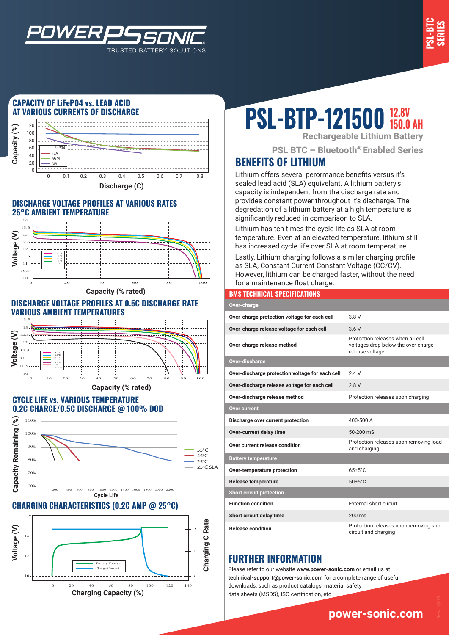

## **CAPACITY OF LiFeP04 vs. LEAD ACID AT VARIOUS CURRENTS OF DISCHARGE**

*WER* 



TRUSTED BATTERY SOLUTIONS

#### **DISCHARGE VOLTAGE PROFILES AT VARIOUS RATES 25°C AMBIENT TEMPERATURE**



**Capacity (% rated)**

#### **DISCHARGE VOLTAGE PROFILES AT 0.5C DISCHARGE RATE VARIOUS AMBIENT TEMPERATURES**



#### **CYCLE LIFE vs. VARIOUS TEMPERATURE 0.2C CHARGE/0.5C DISCHARGE @ 100% DOD**



### **CHARGING CHARACTERISTICS (0.2C AMP @ 25°C)**



# **PSL-BTP-121500 12.8V** AH

**Rechargeable Lithium Battery**

**PSL BTC – Bluetooth® Enabled Series**

# **BENEFITS OF LITHIUM**

Lithium offers several perormance benefits versus it's sealed lead acid (SLA) equivelant. A lithium battery's capacity is independent from the discharge rate and provides constant power throughout it's discharge. The degredation of a lithium battery at a high temperature is significantly reduced in comparison to SLA.

Lithium has ten times the cycle life as SLA at room temperature. Even at an elevated temperature, lithium still has increased cycle life over SLA at room temperature.

Lastly, Lithium charging follows a similar charging profile as SLA, Constant Current Constant Voltage (CC/CV). However, lithium can be charged faster, without the need for a maintenance float charge.

#### **BMS TECHNICAL SPECIFICATIONS**

| Over-charge                                     |                                                                                             |
|-------------------------------------------------|---------------------------------------------------------------------------------------------|
| Over-charge protection voltage for each cell    | 3 8 V                                                                                       |
| Over-charge release voltage for each cell       | 36V                                                                                         |
| Over-charge release method                      | Protection releases when all cell<br>voltages drop below the over-charge<br>release voltage |
| Over-discharge                                  |                                                                                             |
| Over-discharge protection voltage for each cell | 24V                                                                                         |
| Over-discharge release voltage for each cell    | 2.8V                                                                                        |
| Over-discharge release method                   | Protection releases upon charging                                                           |
| Over current                                    |                                                                                             |
| Discharge over current protection               | 400-500 A                                                                                   |
| Over-current delay time                         | 50-200 mS                                                                                   |
| Over current release condition                  | Protection releases upon removing load<br>and charging                                      |
| <b>Battery temperature</b>                      |                                                                                             |
| Over-temperature protection                     | $65+5^{\circ}$ C                                                                            |
| <b>Release temperature</b>                      | $50 \pm 5^{\circ}$ C                                                                        |
| <b>Short circuit protection</b>                 |                                                                                             |
| <b>Function condition</b>                       | External short circuit                                                                      |
| Short circuit delay time                        | $200 \text{ ms}$                                                                            |
| <b>Release condition</b>                        | Protection releases upon removing short<br>circuit and charging                             |

# **FURTHER INFORMATION**

Please refer to our website **www.power-sonic.com** or email us at **technical-support@power-sonic.com** for a complete range of useful downloads, such as product catalogs, material safety data sheets (MSDS), ISO certification, etc.